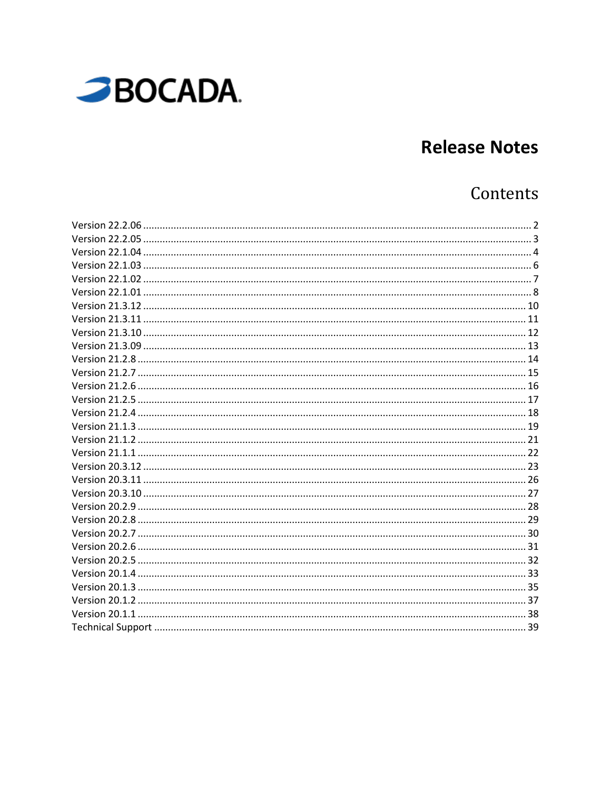

# **Release Notes**

# Contents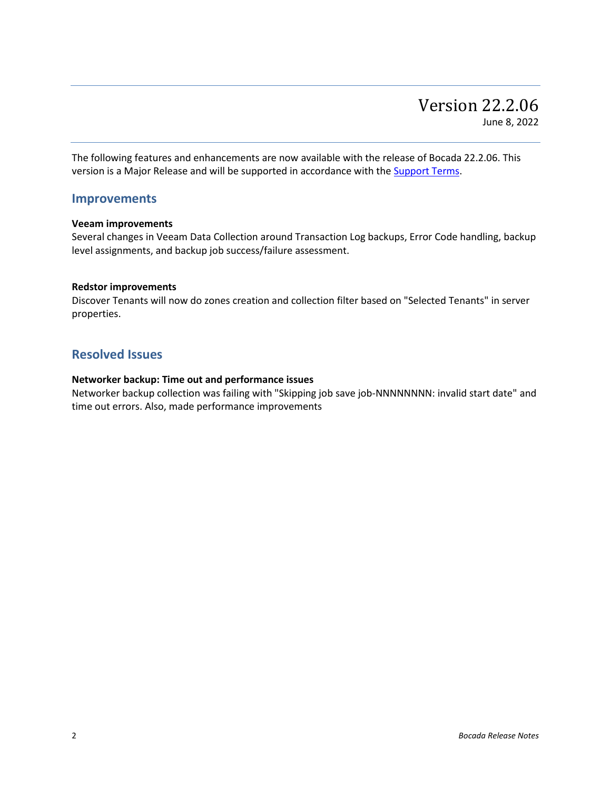<span id="page-1-0"></span>The following features and enhancements are now available with the release of Bocada 22.2.06. This version is a Major Release and will be supported in accordance with the **Support Terms**.

### **Improvements**

#### **Veeam improvements**

Several changes in Veeam Data Collection around Transaction Log backups, Error Code handling, backup level assignments, and backup job success/failure assessment.

#### **Redstor improvements**

Discover Tenants will now do zones creation and collection filter based on "Selected Tenants" in server properties.

### **Resolved Issues**

### **Networker backup: Time out and performance issues**

Networker backup collection was failing with "Skipping job save job-NNNNNNNN: invalid start date" and time out errors. Also, made performance improvements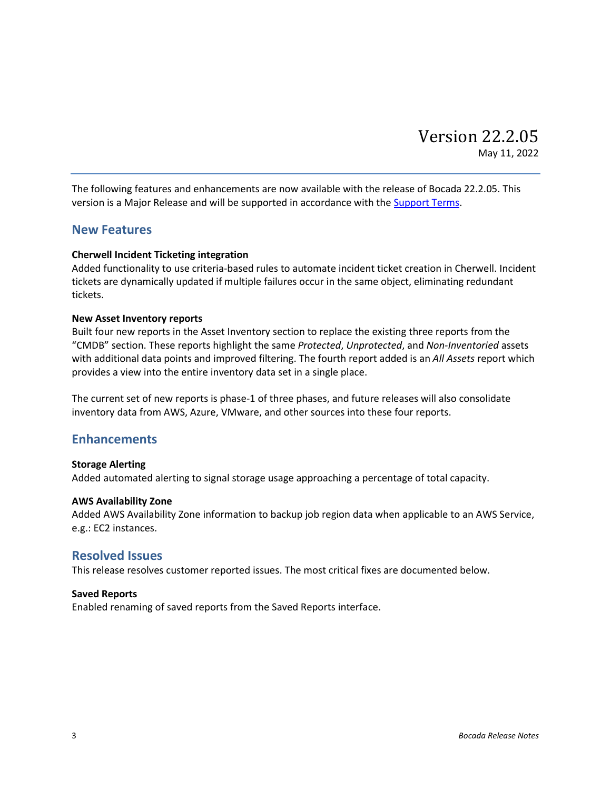<span id="page-2-0"></span>The following features and enhancements are now available with the release of Bocada 22.2.05. This version is a Major Release and will be supported in accordance with th[e Support Terms.](http://www.bocada.com/support-terms)

### **New Features**

### **Cherwell Incident Ticketing integration**

Added functionality to use criteria-based rules to automate incident ticket creation in Cherwell. Incident tickets are dynamically updated if multiple failures occur in the same object, eliminating redundant tickets.

### **New Asset Inventory reports**

Built four new reports in the Asset Inventory section to replace the existing three reports from the "CMDB" section. These reports highlight the same *Protected*, *Unprotected*, and *Non-Inventoried* assets with additional data points and improved filtering. The fourth report added is an *All Assets* report which provides a view into the entire inventory data set in a single place.

The current set of new reports is phase-1 of three phases, and future releases will also consolidate inventory data from AWS, Azure, VMware, and other sources into these four reports.

### **Enhancements**

### **Storage Alerting**

Added automated alerting to signal storage usage approaching a percentage of total capacity.

#### **AWS Availability Zone**

Added AWS Availability Zone information to backup job region data when applicable to an AWS Service, e.g.: EC2 instances.

### **Resolved Issues**

This release resolves customer reported issues. The most critical fixes are documented below.

#### **Saved Reports**

Enabled renaming of saved reports from the Saved Reports interface.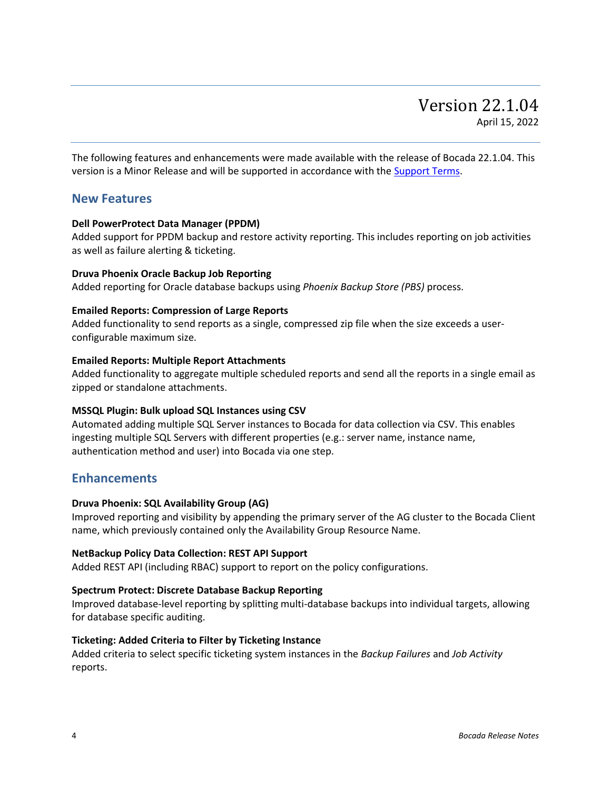<span id="page-3-0"></span>The following features and enhancements were made available with the release of Bocada 22.1.04. This version is a Minor Release and will be supported in accordance with the [Support Terms.](http://www.bocada.com/support-terms)

### **New Features**

### **Dell PowerProtect Data Manager (PPDM)**

Added support for PPDM backup and restore activity reporting. This includes reporting on job activities as well as failure alerting & ticketing.

### **Druva Phoenix Oracle Backup Job Reporting**

Added reporting for Oracle database backups using *Phoenix Backup Store (PBS)* process.

### **Emailed Reports: Compression of Large Reports**

Added functionality to send reports as a single, compressed zip file when the size exceeds a userconfigurable maximum size.

### **Emailed Reports: Multiple Report Attachments**

Added functionality to aggregate multiple scheduled reports and send all the reports in a single email as zipped or standalone attachments.

### **MSSQL Plugin: Bulk upload SQL Instances using CSV**

Automated adding multiple SQL Server instances to Bocada for data collection via CSV. This enables ingesting multiple SQL Servers with different properties (e.g.: server name, instance name, authentication method and user) into Bocada via one step.

### **Enhancements**

### **Druva Phoenix: SQL Availability Group (AG)**

Improved reporting and visibility by appending the primary server of the AG cluster to the Bocada Client name, which previously contained only the Availability Group Resource Name.

### **NetBackup Policy Data Collection: REST API Support**

Added REST API (including RBAC) support to report on the policy configurations.

### **Spectrum Protect: Discrete Database Backup Reporting**

Improved database-level reporting by splitting multi-database backups into individual targets, allowing for database specific auditing.

### **Ticketing: Added Criteria to Filter by Ticketing Instance**

Added criteria to select specific ticketing system instances in the *Backup Failures* and *Job Activity* reports.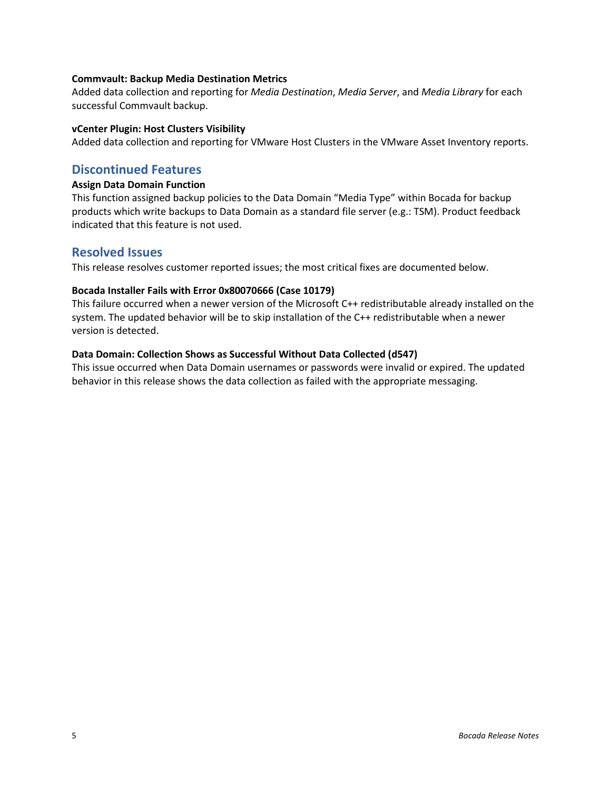### **Commvault: Backup Media Destination Metrics**

Added data collection and reporting for *Media Destination*, *Media Server*, and *Media Library* for each successful Commvault backup.

### **vCenter Plugin: Host Clusters Visibility**

Added data collection and reporting for VMware Host Clusters in the VMware Asset Inventory reports.

### **Discontinued Features**

### **Assign Data Domain Function**

This function assigned backup policies to the Data Domain "Media Type" within Bocada for backup products which write backups to Data Domain as a standard file server (e.g.: TSM). Product feedback indicated that this feature is not used.

### **Resolved Issues**

This release resolves customer reported issues; the most critical fixes are documented below.

### **Bocada Installer Fails with Error 0x80070666 (Case 10179)**

This failure occurred when a newer version of the Microsoft C++ redistributable already installed on the system. The updated behavior will be to skip installation of the C++ redistributable when a newer version is detected.

### **Data Domain: Collection Shows as Successful Without Data Collected (d547)**

This issue occurred when Data Domain usernames or passwords were invalid or expired. The updated behavior in this release shows the data collection as failed with the appropriate messaging.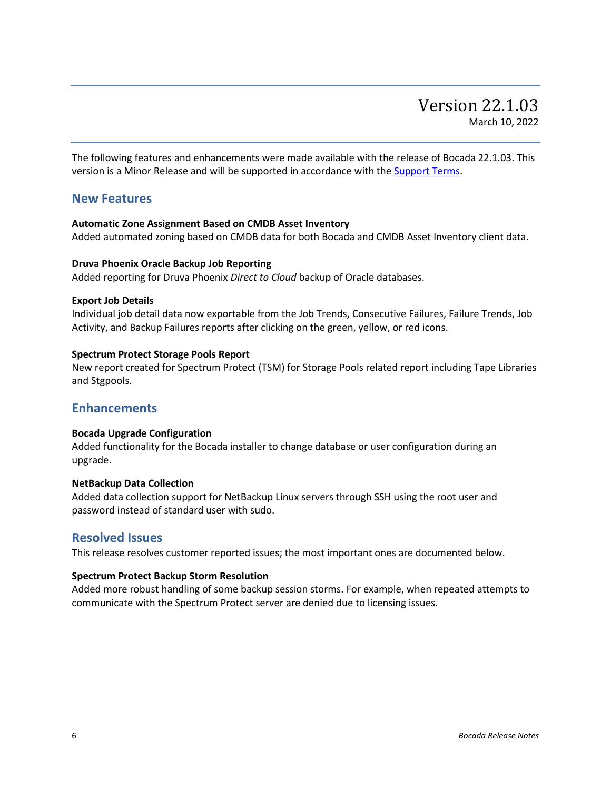<span id="page-5-0"></span>The following features and enhancements were made available with the release of Bocada 22.1.03. This version is a Minor Release and will be supported in accordance with the [Support Terms.](http://www.bocada.com/support-terms)

### **New Features**

### **Automatic Zone Assignment Based on CMDB Asset Inventory**

Added automated zoning based on CMDB data for both Bocada and CMDB Asset Inventory client data.

### **Druva Phoenix Oracle Backup Job Reporting**

Added reporting for Druva Phoenix *Direct to Cloud* backup of Oracle databases.

#### **Export Job Details**

Individual job detail data now exportable from the Job Trends, Consecutive Failures, Failure Trends, Job Activity, and Backup Failures reports after clicking on the green, yellow, or red icons.

### **Spectrum Protect Storage Pools Report**

New report created for Spectrum Protect (TSM) for Storage Pools related report including Tape Libraries and Stgpools.

### **Enhancements**

### **Bocada Upgrade Configuration**

Added functionality for the Bocada installer to change database or user configuration during an upgrade.

### **NetBackup Data Collection**

Added data collection support for NetBackup Linux servers through SSH using the root user and password instead of standard user with sudo.

### **Resolved Issues**

This release resolves customer reported issues; the most important ones are documented below.

### **Spectrum Protect Backup Storm Resolution**

Added more robust handling of some backup session storms. For example, when repeated attempts to communicate with the Spectrum Protect server are denied due to licensing issues.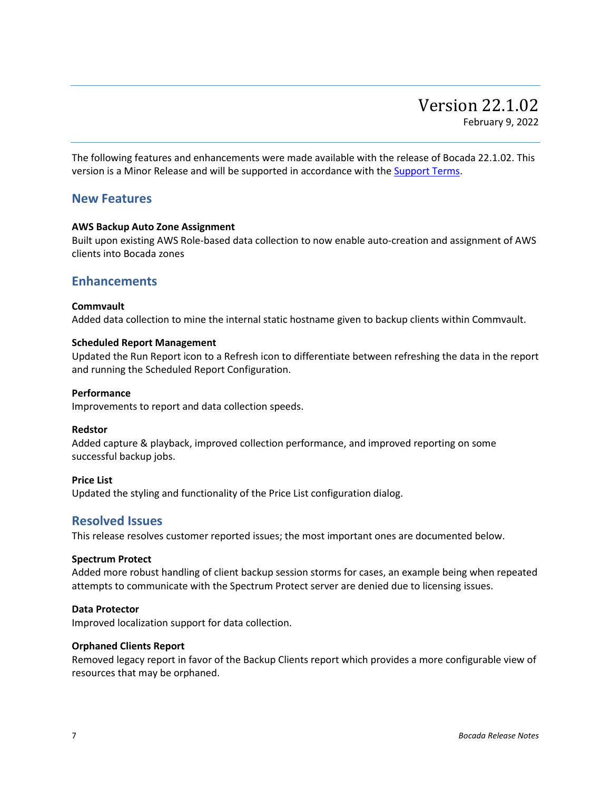<span id="page-6-0"></span>The following features and enhancements were made available with the release of Bocada 22.1.02. This version is a Minor Release and will be supported in accordance with the [Support Terms.](http://www.bocada.com/support-terms)

### **New Features**

### **AWS Backup Auto Zone Assignment**

Built upon existing AWS Role-based data collection to now enable auto-creation and assignment of AWS clients into Bocada zones

### **Enhancements**

### **Commvault**

Added data collection to mine the internal static hostname given to backup clients within Commvault.

### **Scheduled Report Management**

Updated the Run Report icon to a Refresh icon to differentiate between refreshing the data in the report and running the Scheduled Report Configuration.

#### **Performance**

Improvements to report and data collection speeds.

### **Redstor**

Added capture & playback, improved collection performance, and improved reporting on some successful backup jobs.

### **Price List**

Updated the styling and functionality of the Price List configuration dialog.

### **Resolved Issues**

This release resolves customer reported issues; the most important ones are documented below.

### **Spectrum Protect**

Added more robust handling of client backup session storms for cases, an example being when repeated attempts to communicate with the Spectrum Protect server are denied due to licensing issues.

#### **Data Protector**

Improved localization support for data collection.

#### **Orphaned Clients Report**

Removed legacy report in favor of the Backup Clients report which provides a more configurable view of resources that may be orphaned.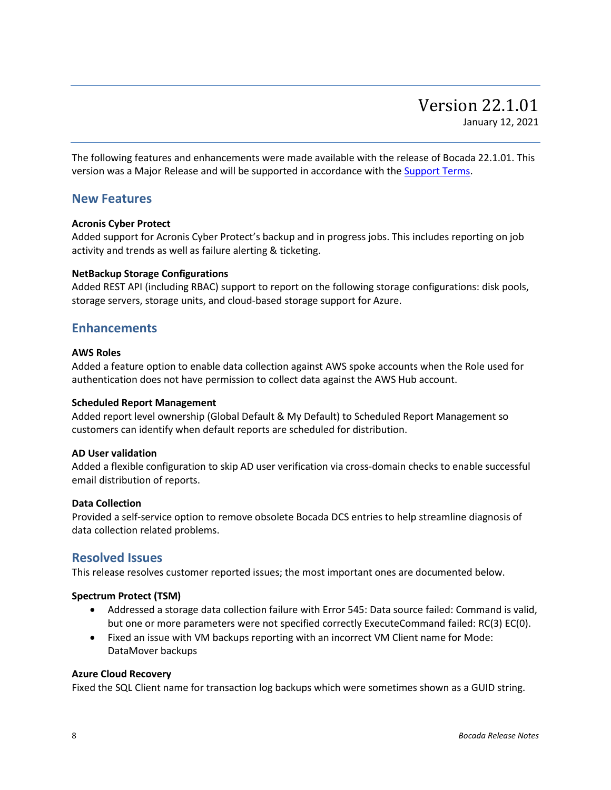<span id="page-7-0"></span>The following features and enhancements were made available with the release of Bocada 22.1.01. This version was a Major Release and will be supported in accordance with the [Support Terms.](http://www.bocada.com/support-terms)

### **New Features**

### **Acronis Cyber Protect**

Added support for Acronis Cyber Protect's backup and in progress jobs. This includes reporting on job activity and trends as well as failure alerting & ticketing.

### **NetBackup Storage Configurations**

Added REST API (including RBAC) support to report on the following storage configurations: disk pools, storage servers, storage units, and cloud-based storage support for Azure.

### **Enhancements**

#### **AWS Roles**

Added a feature option to enable data collection against AWS spoke accounts when the Role used for authentication does not have permission to collect data against the AWS Hub account.

### **Scheduled Report Management**

Added report level ownership (Global Default & My Default) to Scheduled Report Management so customers can identify when default reports are scheduled for distribution.

### **AD User validation**

Added a flexible configuration to skip AD user verification via cross-domain checks to enable successful email distribution of reports.

### **Data Collection**

Provided a self-service option to remove obsolete Bocada DCS entries to help streamline diagnosis of data collection related problems.

### **Resolved Issues**

This release resolves customer reported issues; the most important ones are documented below.

### **Spectrum Protect (TSM)**

- Addressed a storage data collection failure with Error 545: Data source failed: Command is valid, but one or more parameters were not specified correctly ExecuteCommand failed: RC(3) EC(0).
- Fixed an issue with VM backups reporting with an incorrect VM Client name for Mode: DataMover backups

### **Azure Cloud Recovery**

Fixed the SQL Client name for transaction log backups which were sometimes shown as a GUID string.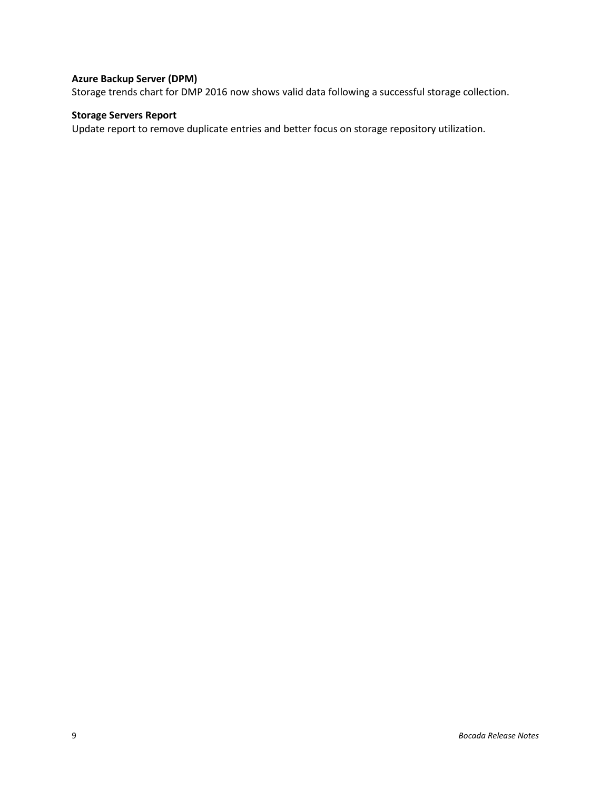### **Azure Backup Server (DPM)**

Storage trends chart for DMP 2016 now shows valid data following a successful storage collection.

### **Storage Servers Report**

Update report to remove duplicate entries and better focus on storage repository utilization.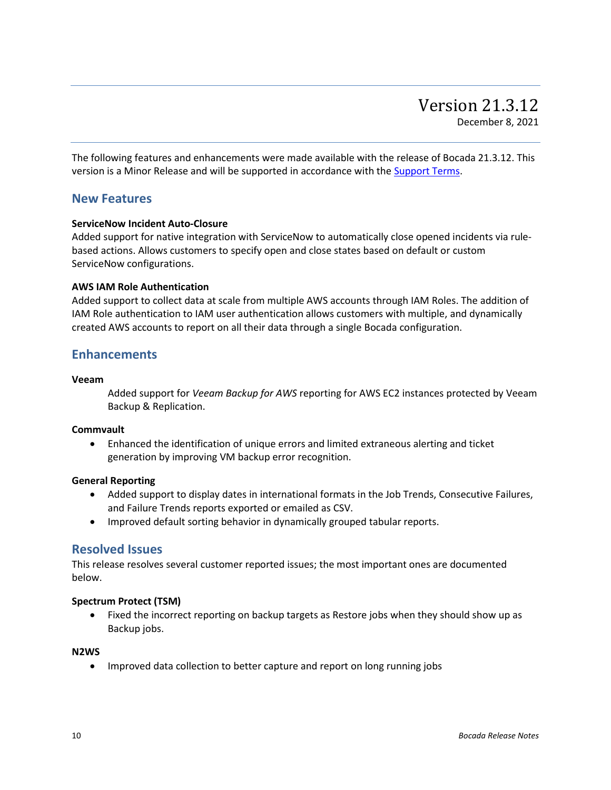<span id="page-9-0"></span>The following features and enhancements were made available with the release of Bocada 21.3.12. This version is a Minor Release and will be supported in accordance with the [Support Terms.](http://www.bocada.com/support-terms)

### **New Features**

### **ServiceNow Incident Auto-Closure**

Added support for native integration with ServiceNow to automatically close opened incidents via rulebased actions. Allows customers to specify open and close states based on default or custom ServiceNow configurations.

### **AWS IAM Role Authentication**

Added support to collect data at scale from multiple AWS accounts through IAM Roles. The addition of IAM Role authentication to IAM user authentication allows customers with multiple, and dynamically created AWS accounts to report on all their data through a single Bocada configuration.

### **Enhancements**

### **Veeam**

Added support for *Veeam Backup for AWS* reporting for AWS EC2 instances protected by Veeam Backup & Replication.

### **Commvault**

• Enhanced the identification of unique errors and limited extraneous alerting and ticket generation by improving VM backup error recognition.

### **General Reporting**

- Added support to display dates in international formats in the Job Trends, Consecutive Failures, and Failure Trends reports exported or emailed as CSV.
- Improved default sorting behavior in dynamically grouped tabular reports.

### **Resolved Issues**

This release resolves several customer reported issues; the most important ones are documented below.

### **Spectrum Protect (TSM)**

• Fixed the incorrect reporting on backup targets as Restore jobs when they should show up as Backup jobs.

### **N2WS**

• Improved data collection to better capture and report on long running jobs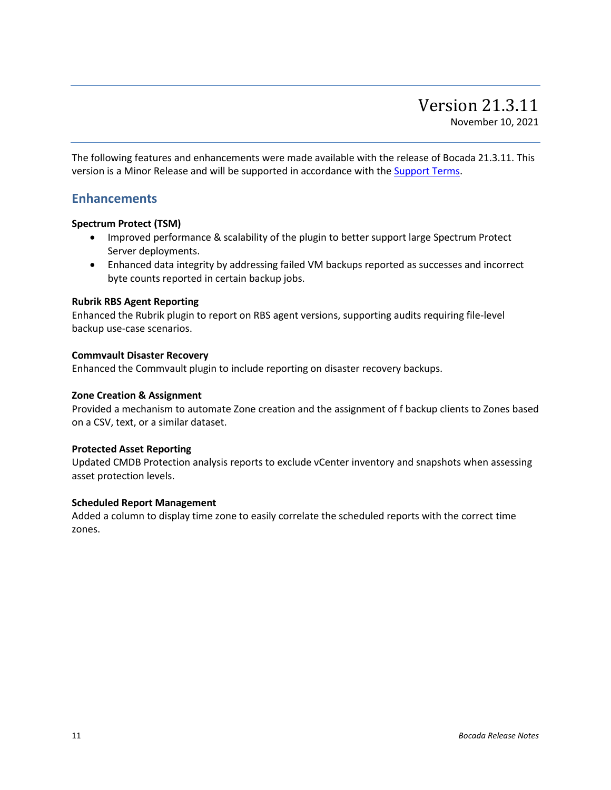<span id="page-10-0"></span>The following features and enhancements were made available with the release of Bocada 21.3.11. This version is a Minor Release and will be supported in accordance with the [Support Terms.](http://www.bocada.com/support-terms)

### **Enhancements**

### **Spectrum Protect (TSM)**

- Improved performance & scalability of the plugin to better support large Spectrum Protect Server deployments.
- Enhanced data integrity by addressing failed VM backups reported as successes and incorrect byte counts reported in certain backup jobs.

### **Rubrik RBS Agent Reporting**

Enhanced the Rubrik plugin to report on RBS agent versions, supporting audits requiring file-level backup use-case scenarios.

### **Commvault Disaster Recovery**

Enhanced the Commvault plugin to include reporting on disaster recovery backups.

### **Zone Creation & Assignment**

Provided a mechanism to automate Zone creation and the assignment of f backup clients to Zones based on a CSV, text, or a similar dataset.

### **Protected Asset Reporting**

Updated CMDB Protection analysis reports to exclude vCenter inventory and snapshots when assessing asset protection levels.

### **Scheduled Report Management**

Added a column to display time zone to easily correlate the scheduled reports with the correct time zones.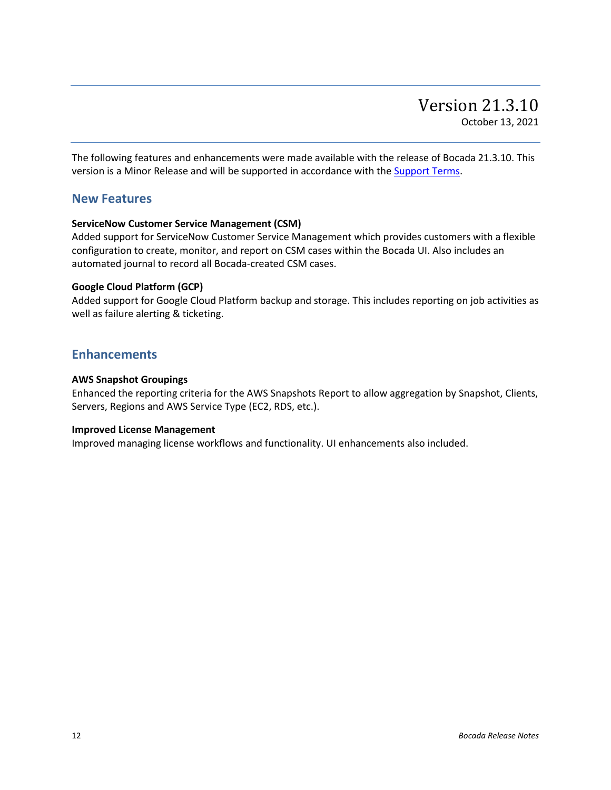<span id="page-11-0"></span>The following features and enhancements were made available with the release of Bocada 21.3.10. This version is a Minor Release and will be supported in accordance with the [Support Terms.](http://www.bocada.com/support-terms)

### **New Features**

### **ServiceNow Customer Service Management (CSM)**

Added support for ServiceNow Customer Service Management which provides customers with a flexible configuration to create, monitor, and report on CSM cases within the Bocada UI. Also includes an automated journal to record all Bocada-created CSM cases.

### **Google Cloud Platform (GCP)**

Added support for Google Cloud Platform backup and storage. This includes reporting on job activities as well as failure alerting & ticketing.

### **Enhancements**

### **AWS Snapshot Groupings**

Enhanced the reporting criteria for the AWS Snapshots Report to allow aggregation by Snapshot, Clients, Servers, Regions and AWS Service Type (EC2, RDS, etc.).

### **Improved License Management**

Improved managing license workflows and functionality. UI enhancements also included.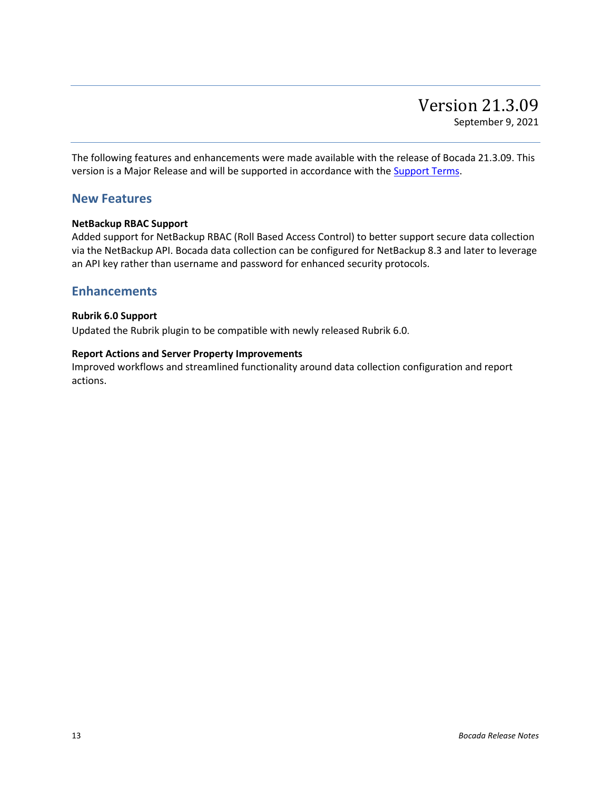<span id="page-12-0"></span>The following features and enhancements were made available with the release of Bocada 21.3.09. This version is a Major Release and will be supported in accordance with the **Support Terms**.

### **New Features**

### **NetBackup RBAC Support**

Added support for NetBackup RBAC (Roll Based Access Control) to better support secure data collection via the NetBackup API. Bocada data collection can be configured for NetBackup 8.3 and later to leverage an API key rather than username and password for enhanced security protocols.

### **Enhancements**

### **Rubrik 6.0 Support**

Updated the Rubrik plugin to be compatible with newly released Rubrik 6.0.

### **Report Actions and Server Property Improvements**

Improved workflows and streamlined functionality around data collection configuration and report actions.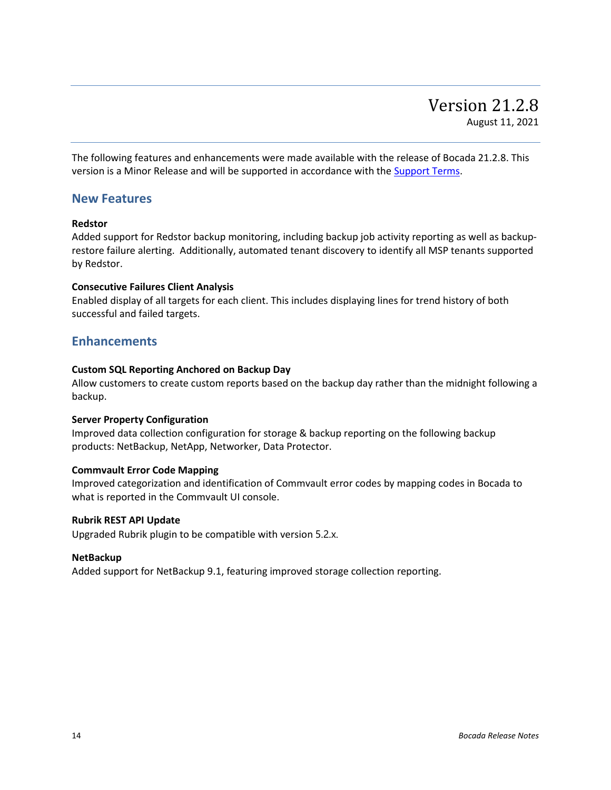<span id="page-13-0"></span>The following features and enhancements were made available with the release of Bocada 21.2.8. This version is a Minor Release and will be supported in accordance with the [Support Terms.](http://www.bocada.com/support-terms)

### **New Features**

### **Redstor**

Added support for Redstor backup monitoring, including backup job activity reporting as well as backuprestore failure alerting. Additionally, automated tenant discovery to identify all MSP tenants supported by Redstor.

### **Consecutive Failures Client Analysis**

Enabled display of all targets for each client. This includes displaying lines for trend history of both successful and failed targets.

### **Enhancements**

### **Custom SQL Reporting Anchored on Backup Day**

Allow customers to create custom reports based on the backup day rather than the midnight following a backup.

### **Server Property Configuration**

Improved data collection configuration for storage & backup reporting on the following backup products: NetBackup, NetApp, Networker, Data Protector.

### **Commvault Error Code Mapping**

Improved categorization and identification of Commvault error codes by mapping codes in Bocada to what is reported in the Commvault UI console.

#### **Rubrik REST API Update**

Upgraded Rubrik plugin to be compatible with version 5.2.x.

### **NetBackup**

Added support for NetBackup 9.1, featuring improved storage collection reporting.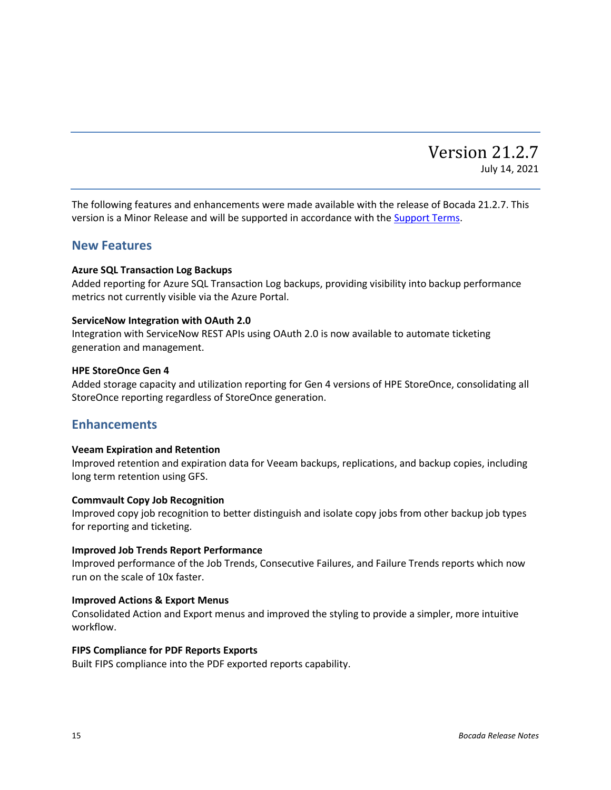## Version 21.2.7 July 14, 2021

<span id="page-14-0"></span>The following features and enhancements were made available with the release of Bocada 21.2.7. This version is a Minor Release and will be supported in accordance with the [Support Terms.](http://www.bocada.com/support-terms)

### **New Features**

#### **Azure SQL Transaction Log Backups**

Added reporting for Azure SQL Transaction Log backups, providing visibility into backup performance metrics not currently visible via the Azure Portal.

#### **ServiceNow Integration with OAuth 2.0**

Integration with ServiceNow REST APIs using OAuth 2.0 is now available to automate ticketing generation and management.

#### **HPE StoreOnce Gen 4**

Added storage capacity and utilization reporting for Gen 4 versions of HPE StoreOnce, consolidating all StoreOnce reporting regardless of StoreOnce generation.

### **Enhancements**

#### **Veeam Expiration and Retention**

Improved retention and expiration data for Veeam backups, replications, and backup copies, including long term retention using GFS.

### **Commvault Copy Job Recognition**

Improved copy job recognition to better distinguish and isolate copy jobs from other backup job types for reporting and ticketing.

### **Improved Job Trends Report Performance**

Improved performance of the Job Trends, Consecutive Failures, and Failure Trends reports which now run on the scale of 10x faster.

### **Improved Actions & Export Menus**

Consolidated Action and Export menus and improved the styling to provide a simpler, more intuitive workflow.

#### **FIPS Compliance for PDF Reports Exports**

Built FIPS compliance into the PDF exported reports capability.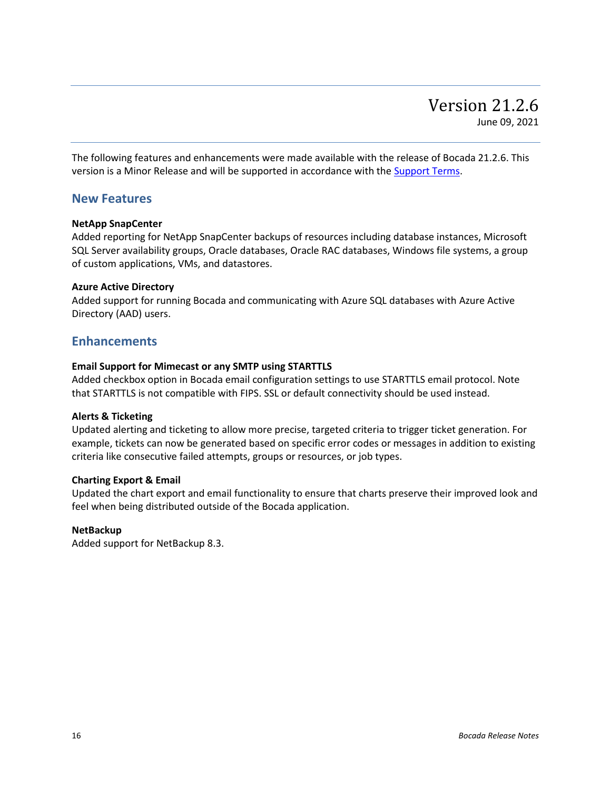<span id="page-15-0"></span>The following features and enhancements were made available with the release of Bocada 21.2.6. This version is a Minor Release and will be supported in accordance with the [Support Terms.](http://www.bocada.com/support-terms)

### **New Features**

### **NetApp SnapCenter**

Added reporting for NetApp SnapCenter backups of resources including database instances, Microsoft SQL Server availability groups, Oracle databases, Oracle RAC databases, Windows file systems, a group of custom applications, VMs, and datastores.

### **Azure Active Directory**

Added support for running Bocada and communicating with Azure SQL databases with Azure Active Directory (AAD) users.

### **Enhancements**

### **Email Support for Mimecast or any SMTP using STARTTLS**

Added checkbox option in Bocada email configuration settings to use STARTTLS email protocol. Note that STARTTLS is not compatible with FIPS. SSL or default connectivity should be used instead.

### **Alerts & Ticketing**

Updated alerting and ticketing to allow more precise, targeted criteria to trigger ticket generation. For example, tickets can now be generated based on specific error codes or messages in addition to existing criteria like consecutive failed attempts, groups or resources, or job types.

### **Charting Export & Email**

Updated the chart export and email functionality to ensure that charts preserve their improved look and feel when being distributed outside of the Bocada application.

### **NetBackup**

Added support for NetBackup 8.3.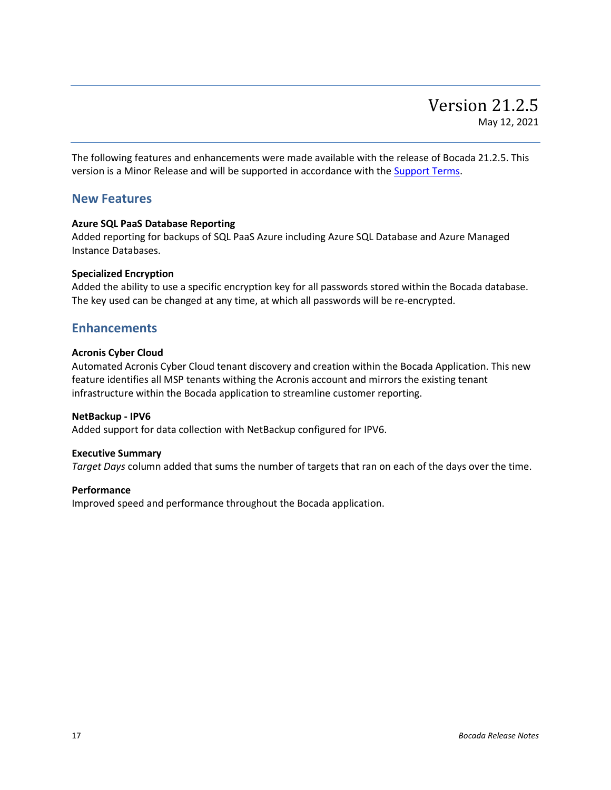<span id="page-16-0"></span>The following features and enhancements were made available with the release of Bocada 21.2.5. This version is a Minor Release and will be supported in accordance with the [Support Terms.](http://www.bocada.com/support-terms)

### **New Features**

### **Azure SQL PaaS Database Reporting**

Added reporting for backups of SQL PaaS Azure including Azure SQL Database and Azure Managed Instance Databases.

### **Specialized Encryption**

Added the ability to use a specific encryption key for all passwords stored within the Bocada database. The key used can be changed at any time, at which all passwords will be re-encrypted.

### **Enhancements**

### **Acronis Cyber Cloud**

Automated Acronis Cyber Cloud tenant discovery and creation within the Bocada Application. This new feature identifies all MSP tenants withing the Acronis account and mirrors the existing tenant infrastructure within the Bocada application to streamline customer reporting.

### **NetBackup - IPV6**

Added support for data collection with NetBackup configured for IPV6.

### **Executive Summary**

*Target Days* column added that sums the number of targets that ran on each of the days over the time.

### **Performance**

Improved speed and performance throughout the Bocada application.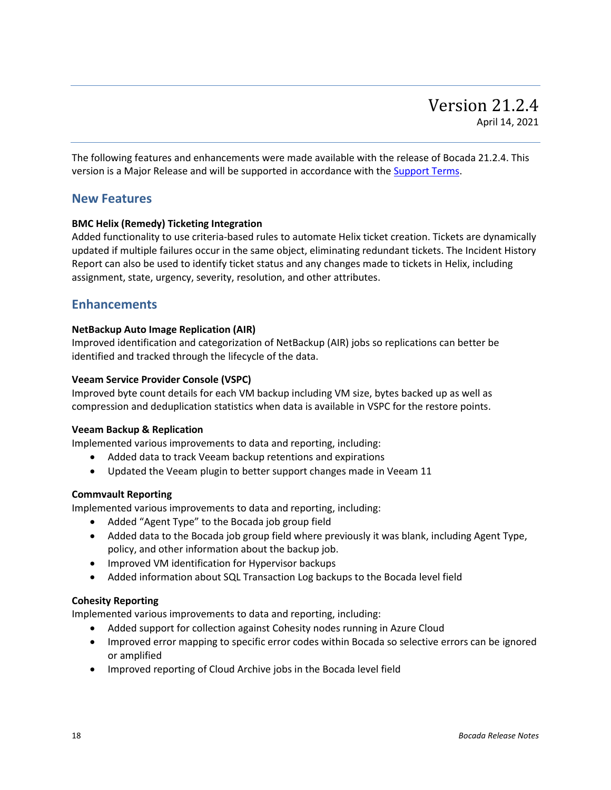<span id="page-17-0"></span>The following features and enhancements were made available with the release of Bocada 21.2.4. This version is a Major Release and will be supported in accordance with th[e Support Terms.](http://www.bocada.com/support-terms)

### **New Features**

### **BMC Helix (Remedy) Ticketing Integration**

Added functionality to use criteria-based rules to automate Helix ticket creation. Tickets are dynamically updated if multiple failures occur in the same object, eliminating redundant tickets. The Incident History Report can also be used to identify ticket status and any changes made to tickets in Helix, including assignment, state, urgency, severity, resolution, and other attributes.

### **Enhancements**

### **NetBackup Auto Image Replication (AIR)**

Improved identification and categorization of NetBackup (AIR) jobs so replications can better be identified and tracked through the lifecycle of the data.

### **Veeam Service Provider Console (VSPC)**

Improved byte count details for each VM backup including VM size, bytes backed up as well as compression and deduplication statistics when data is available in VSPC for the restore points.

### **Veeam Backup & Replication**

Implemented various improvements to data and reporting, including:

- Added data to track Veeam backup retentions and expirations
- Updated the Veeam plugin to better support changes made in Veeam 11

### **Commvault Reporting**

Implemented various improvements to data and reporting, including:

- Added "Agent Type" to the Bocada job group field
- Added data to the Bocada job group field where previously it was blank, including Agent Type, policy, and other information about the backup job.
- Improved VM identification for Hypervisor backups
- Added information about SQL Transaction Log backups to the Bocada level field

### **Cohesity Reporting**

Implemented various improvements to data and reporting, including:

- Added support for collection against Cohesity nodes running in Azure Cloud
- Improved error mapping to specific error codes within Bocada so selective errors can be ignored or amplified
- Improved reporting of Cloud Archive jobs in the Bocada level field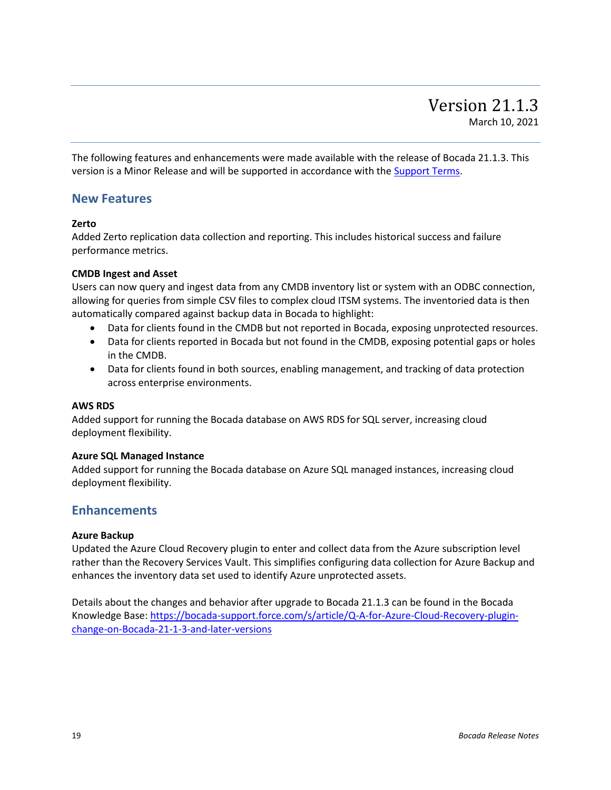<span id="page-18-0"></span>The following features and enhancements were made available with the release of Bocada 21.1.3. This version is a Minor Release and will be supported in accordance with the [Support Terms.](http://www.bocada.com/support-terms)

### **New Features**

### **Zerto**

Added Zerto replication data collection and reporting. This includes historical success and failure performance metrics.

### **CMDB Ingest and Asset**

Users can now query and ingest data from any CMDB inventory list or system with an ODBC connection, allowing for queries from simple CSV files to complex cloud ITSM systems. The inventoried data is then automatically compared against backup data in Bocada to highlight:

- Data for clients found in the CMDB but not reported in Bocada, exposing unprotected resources.
- Data for clients reported in Bocada but not found in the CMDB, exposing potential gaps or holes in the CMDB.
- Data for clients found in both sources, enabling management, and tracking of data protection across enterprise environments.

### **AWS RDS**

Added support for running the Bocada database on AWS RDS for SQL server, increasing cloud deployment flexibility.

### **Azure SQL Managed Instance**

Added support for running the Bocada database on Azure SQL managed instances, increasing cloud deployment flexibility.

### **Enhancements**

### **Azure Backup**

Updated the Azure Cloud Recovery plugin to enter and collect data from the Azure subscription level rather than the Recovery Services Vault. This simplifies configuring data collection for Azure Backup and enhances the inventory data set used to identify Azure unprotected assets.

Details about the changes and behavior after upgrade to Bocada 21.1.3 can be found in the Bocada Knowledge Base[: https://bocada-support.force.com/s/article/Q-A-for-Azure-Cloud-Recovery-plugin](https://bocada-support.force.com/s/article/Q-A-for-Azure-Cloud-Recovery-plugin-change-on-Bocada-21-1-3-and-later-versions)[change-on-Bocada-21-1-3-and-later-versions](https://bocada-support.force.com/s/article/Q-A-for-Azure-Cloud-Recovery-plugin-change-on-Bocada-21-1-3-and-later-versions)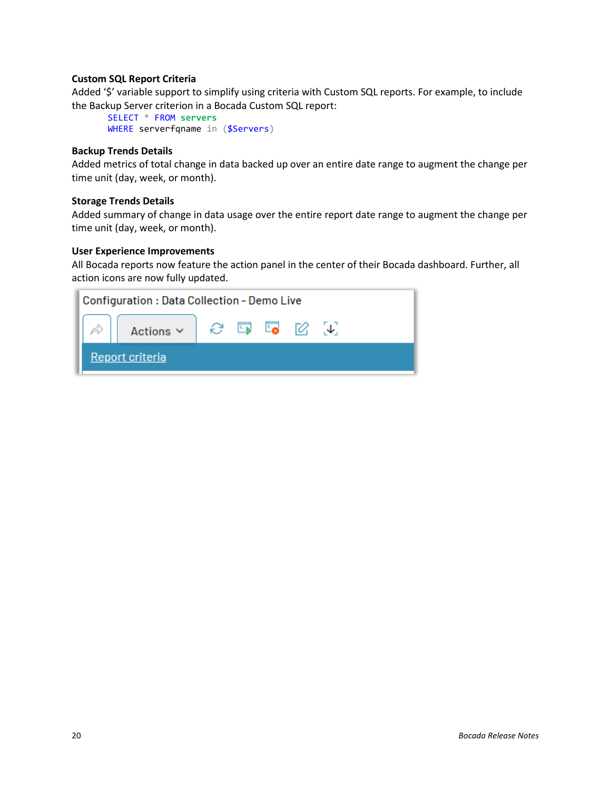### **Custom SQL Report Criteria**

Added '\$' variable support to simplify using criteria with Custom SQL reports. For example, to include the Backup Server criterion in a Bocada Custom SQL report:

```
SELECT * FROM servers
WHERE serverfqname in ($Servers)
```
### **Backup Trends Details**

Added metrics of total change in data backed up over an entire date range to augment the change per time unit (day, week, or month).

### **Storage Trends Details**

Added summary of change in data usage over the entire report date range to augment the change per time unit (day, week, or month).

### **User Experience Improvements**

All Bocada reports now feature the action panel in the center of their Bocada dashboard. Further, all action icons are now fully updated.

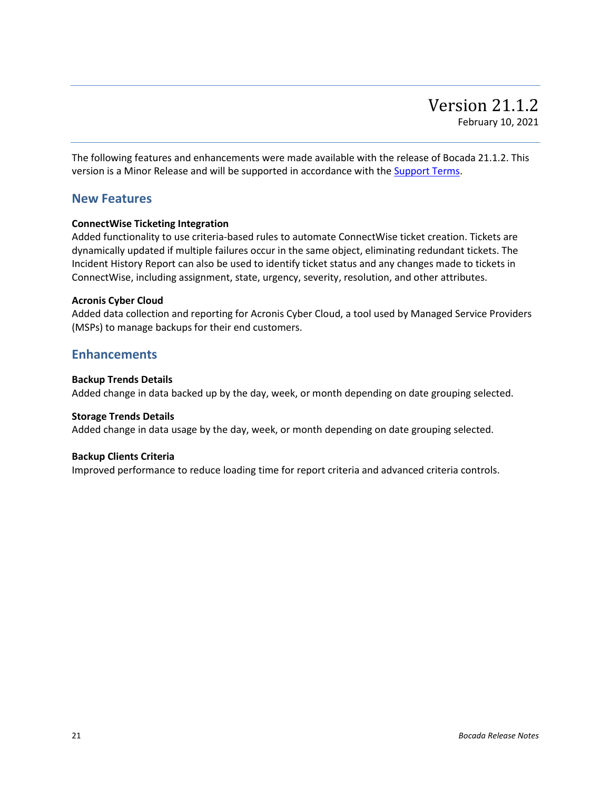<span id="page-20-0"></span>The following features and enhancements were made available with the release of Bocada 21.1.2. This version is a Minor Release and will be supported in accordance with the **Support Terms**.

### **New Features**

### **ConnectWise Ticketing Integration**

Added functionality to use criteria-based rules to automate ConnectWise ticket creation. Tickets are dynamically updated if multiple failures occur in the same object, eliminating redundant tickets. The Incident History Report can also be used to identify ticket status and any changes made to tickets in ConnectWise, including assignment, state, urgency, severity, resolution, and other attributes.

### **Acronis Cyber Cloud**

Added data collection and reporting for Acronis Cyber Cloud, a tool used by Managed Service Providers (MSPs) to manage backups for their end customers.

### **Enhancements**

### **Backup Trends Details**

Added change in data backed up by the day, week, or month depending on date grouping selected.

### **Storage Trends Details**

Added change in data usage by the day, week, or month depending on date grouping selected.

### **Backup Clients Criteria**

Improved performance to reduce loading time for report criteria and advanced criteria controls.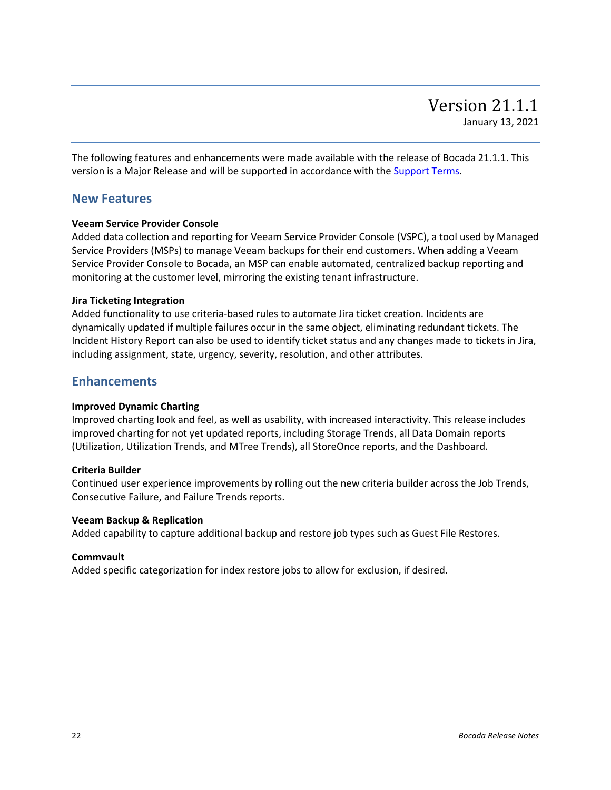<span id="page-21-0"></span>The following features and enhancements were made available with the release of Bocada 21.1.1. This version is a Major Release and will be supported in accordance with the **Support Terms**.

### **New Features**

### **Veeam Service Provider Console**

Added data collection and reporting for Veeam Service Provider Console (VSPC), a tool used by Managed Service Providers (MSPs) to manage Veeam backups for their end customers. When adding a Veeam Service Provider Console to Bocada, an MSP can enable automated, centralized backup reporting and monitoring at the customer level, mirroring the existing tenant infrastructure.

### **Jira Ticketing Integration**

Added functionality to use criteria-based rules to automate Jira ticket creation. Incidents are dynamically updated if multiple failures occur in the same object, eliminating redundant tickets. The Incident History Report can also be used to identify ticket status and any changes made to tickets in Jira, including assignment, state, urgency, severity, resolution, and other attributes.

### **Enhancements**

### **Improved Dynamic Charting**

Improved charting look and feel, as well as usability, with increased interactivity. This release includes improved charting for not yet updated reports, including Storage Trends, all Data Domain reports (Utilization, Utilization Trends, and MTree Trends), all StoreOnce reports, and the Dashboard.

### **Criteria Builder**

Continued user experience improvements by rolling out the new criteria builder across the Job Trends, Consecutive Failure, and Failure Trends reports.

### **Veeam Backup & Replication**

Added capability to capture additional backup and restore job types such as Guest File Restores.

### **Commvault**

Added specific categorization for index restore jobs to allow for exclusion, if desired.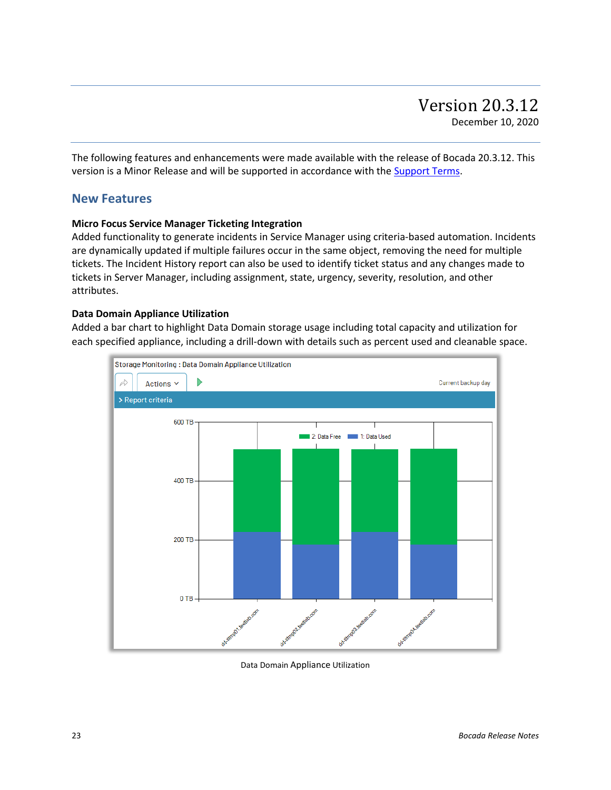<span id="page-22-0"></span>The following features and enhancements were made available with the release of Bocada 20.3.12. This version is a Minor Release and will be supported in accordance with the [Support Terms.](http://www.bocada.com/support-terms)

### **New Features**

### **Micro Focus Service Manager Ticketing Integration**

Added functionality to generate incidents in Service Manager using criteria-based automation. Incidents are dynamically updated if multiple failures occur in the same object, removing the need for multiple tickets. The Incident History report can also be used to identify ticket status and any changes made to tickets in Server Manager, including assignment, state, urgency, severity, resolution, and other attributes.

#### **Data Domain Appliance Utilization**

Added a bar chart to highlight Data Domain storage usage including total capacity and utilization for each specified appliance, including a drill-down with details such as percent used and cleanable space.



Data Domain Appliance Utilization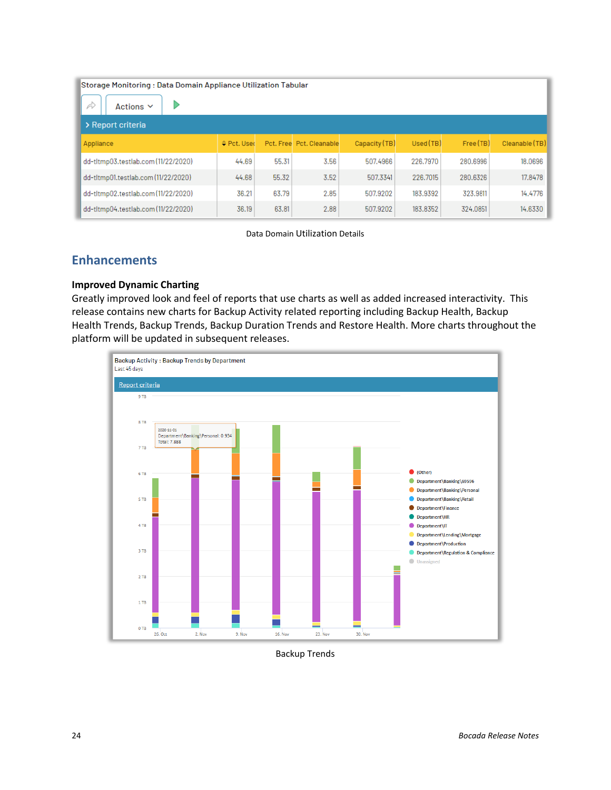| Storage Monitoring: Data Domain Appliance Utilization Tabular<br>À<br>Actions $\vee$ |           |       |                          |               |           |           |                |
|--------------------------------------------------------------------------------------|-----------|-------|--------------------------|---------------|-----------|-----------|----------------|
| > Report criteria                                                                    |           |       |                          |               |           |           |                |
| Appliance                                                                            | Pct. User |       | Pct. Free Pct. Cleanable | Capacity (TB) | Used (TB) | Free (TB) | Cleanable (TB) |
| dd-tltmp03.testlab.com (11/22/2020)                                                  | 44.69     | 55.31 | 3.56                     | 507.4966      | 226,7970  | 280.6996  | 18.0696        |
| dd-tltmp01.testlab.com (11/22/2020)                                                  | 44.68     | 55.32 | 3.52                     | 507.3341      | 226,7015  | 280,6326  | 17,8478        |
| dd-tltmp02.testlab.com(11/22/2020)                                                   | 36.21     | 63.79 | 2.85                     | 507.9202      | 183.9392  | 323,9811  | 14.4776        |
| dd-tltmp04.testlab.com (11/22/2020)                                                  | 36.19     | 63.81 | 2.88                     | 507,9202      | 183.8352  | 324.0851  | 14.6330        |

Data Domain Utilization Details

## **Enhancements**

### **Improved Dynamic Charting**

Greatly improved look and feel of reports that use charts as well as added increased interactivity. This release contains new charts for Backup Activity related reporting including Backup Health, Backup Health Trends, Backup Trends, Backup Duration Trends and Restore Health. More charts throughout the platform will be updated in subsequent releases.



Backup Trends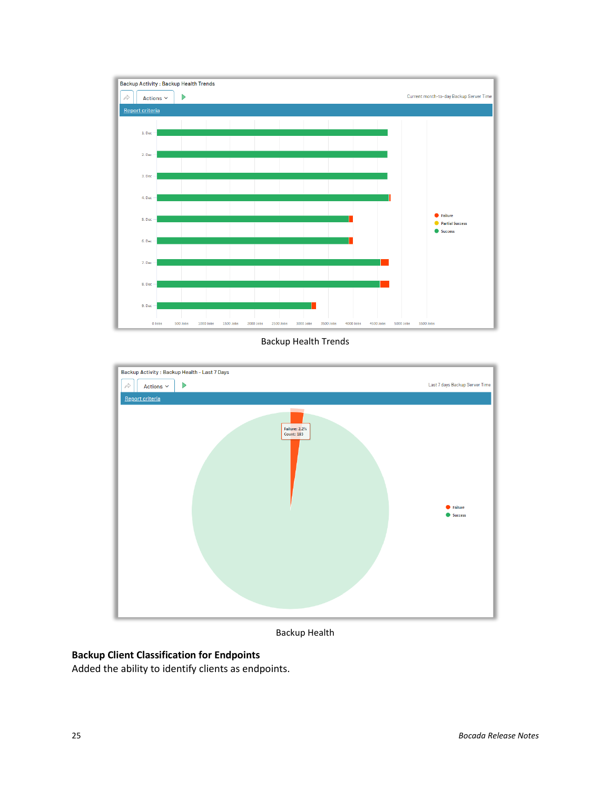

Backup Health Trends



Backup Health

## **Backup Client Classification for Endpoints**

Added the ability to identify clients as endpoints.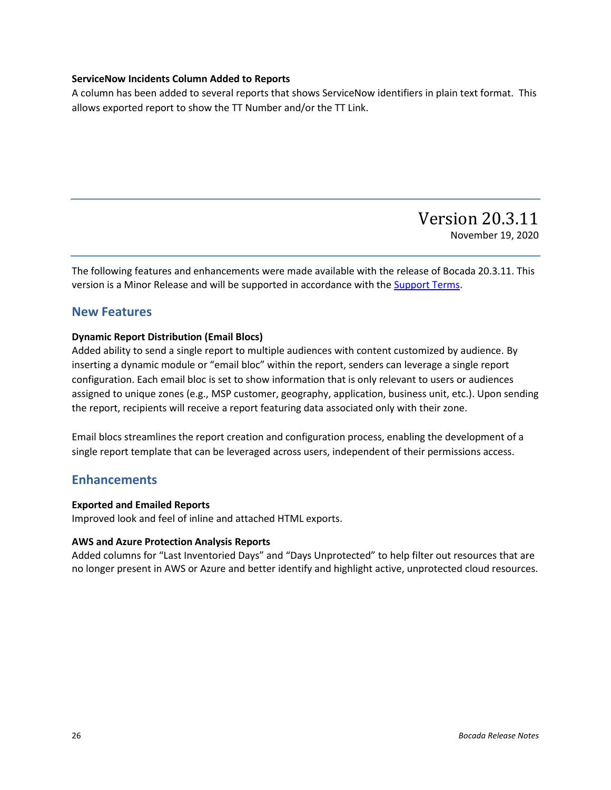### **ServiceNow Incidents Column Added to Reports**

A column has been added to several reports that shows ServiceNow identifiers in plain text format. This allows exported report to show the TT Number and/or the TT Link.

## Version 20.3.11 November 19, 2020

<span id="page-25-0"></span>The following features and enhancements were made available with the release of Bocada 20.3.11. This version is a Minor Release and will be supported in accordance with the [Support Terms.](http://www.bocada.com/support-terms)

### **New Features**

### **Dynamic Report Distribution (Email Blocs)**

Added ability to send a single report to multiple audiences with content customized by audience. By inserting a dynamic module or "email bloc" within the report, senders can leverage a single report configuration. Each email bloc is set to show information that is only relevant to users or audiences assigned to unique zones (e.g., MSP customer, geography, application, business unit, etc.). Upon sending the report, recipients will receive a report featuring data associated only with their zone.

Email blocs streamlines the report creation and configuration process, enabling the development of a single report template that can be leveraged across users, independent of their permissions access.

### **Enhancements**

### **Exported and Emailed Reports**

Improved look and feel of inline and attached HTML exports.

### **AWS and Azure Protection Analysis Reports**

Added columns for "Last Inventoried Days" and "Days Unprotected" to help filter out resources that are no longer present in AWS or Azure and better identify and highlight active, unprotected cloud resources.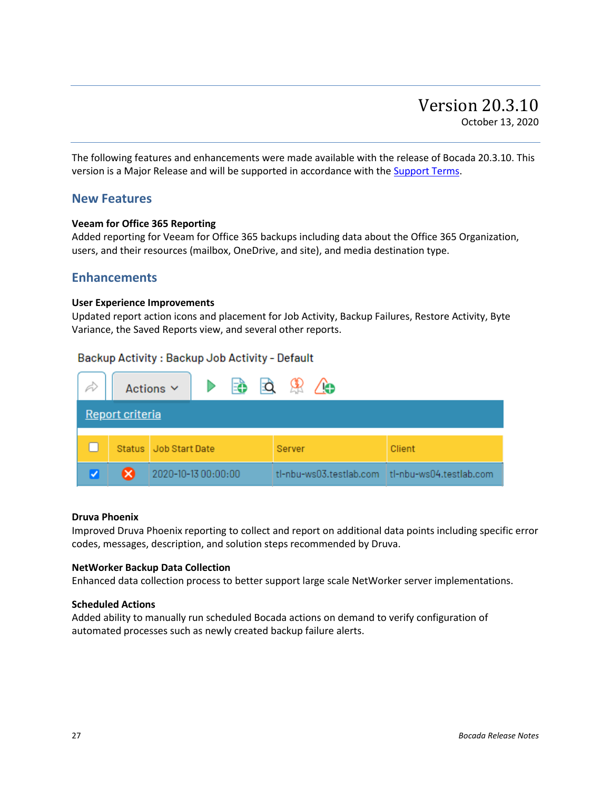<span id="page-26-0"></span>The following features and enhancements were made available with the release of Bocada 20.3.10. This version is a Major Release and will be supported in accordance with th[e Support Terms.](http://www.bocada.com/support-terms)

### **New Features**

### **Veeam for Office 365 Reporting**

Added reporting for Veeam for Office 365 backups including data about the Office 365 Organization, users, and their resources (mailbox, OneDrive, and site), and media destination type.

### **Enhancements**

#### **User Experience Improvements**

Updated report action icons and placement for Job Activity, Backup Failures, Restore Activity, Byte Variance, the Saved Reports view, and several other reports.

### Backup Activity: Backup Job Activity - Default



#### **Druva Phoenix**

Improved Druva Phoenix reporting to collect and report on additional data points including specific error codes, messages, description, and solution steps recommended by Druva.

### **NetWorker Backup Data Collection**

Enhanced data collection process to better support large scale NetWorker server implementations.

### **Scheduled Actions**

Added ability to manually run scheduled Bocada actions on demand to verify configuration of automated processes such as newly created backup failure alerts.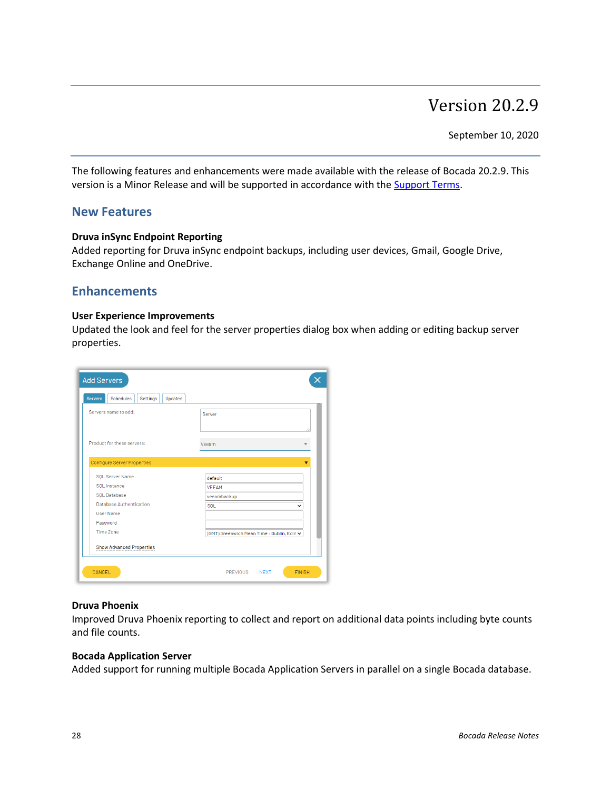# Version 20.2.9

September 10, 2020

<span id="page-27-0"></span>The following features and enhancements were made available with the release of Bocada 20.2.9. This version is a Minor Release and will be supported in accordance with the [Support Terms.](http://www.bocada.com/support-terms)

### **New Features**

### **Druva inSync Endpoint Reporting**

Added reporting for Druva inSync endpoint backups, including user devices, Gmail, Google Drive, Exchange Online and OneDrive.

### **Enhancements**

#### **User Experience Improvements**

Updated the look and feel for the server properties dialog box when adding or editing backup server properties.

| <b>Servers</b><br><b>Schedules</b><br>Updates<br><b>Settings</b> |                                            |
|------------------------------------------------------------------|--------------------------------------------|
| Servers name to add:                                             | Server                                     |
| Product for these servers:                                       | Veeam                                      |
| <b>Configure Server Properties</b>                               |                                            |
| <b>SOL Server Name</b>                                           | default                                    |
| SOL Instance                                                     | <b>VFFAM</b>                               |
| SOL Database                                                     | veeambackup                                |
| Database Authentication                                          | SOL<br>◡                                   |
| <b>User Name</b>                                                 |                                            |
| Password                                                         |                                            |
| Time Zone                                                        | (GMT) Greenwich Mean Time : Dublin, Edin v |
| <b>Show Advanced Properties</b>                                  |                                            |

### **Druva Phoenix**

Improved Druva Phoenix reporting to collect and report on additional data points including byte counts and file counts.

#### **Bocada Application Server**

Added support for running multiple Bocada Application Servers in parallel on a single Bocada database.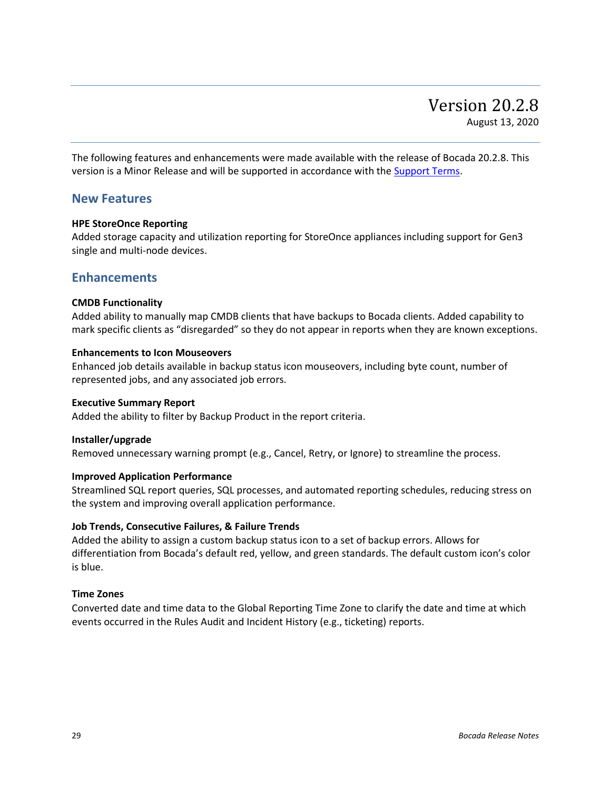<span id="page-28-0"></span>The following features and enhancements were made available with the release of Bocada 20.2.8. This version is a Minor Release and will be supported in accordance with the [Support Terms.](http://www.bocada.com/support-terms)

### **New Features**

### **HPE StoreOnce Reporting**

Added storage capacity and utilization reporting for StoreOnce appliances including support for Gen3 single and multi-node devices.

### **Enhancements**

### **CMDB Functionality**

Added ability to manually map CMDB clients that have backups to Bocada clients. Added capability to mark specific clients as "disregarded" so they do not appear in reports when they are known exceptions.

### **Enhancements to Icon Mouseovers**

Enhanced job details available in backup status icon mouseovers, including byte count, number of represented jobs, and any associated job errors.

### **Executive Summary Report**

Added the ability to filter by Backup Product in the report criteria.

### **Installer/upgrade**

Removed unnecessary warning prompt (e.g., Cancel, Retry, or Ignore) to streamline the process.

### **Improved Application Performance**

Streamlined SQL report queries, SQL processes, and automated reporting schedules, reducing stress on the system and improving overall application performance.

### **Job Trends, Consecutive Failures, & Failure Trends**

Added the ability to assign a custom backup status icon to a set of backup errors. Allows for differentiation from Bocada's default red, yellow, and green standards. The default custom icon's color is blue.

### **Time Zones**

Converted date and time data to the Global Reporting Time Zone to clarify the date and time at which events occurred in the Rules Audit and Incident History (e.g., ticketing) reports.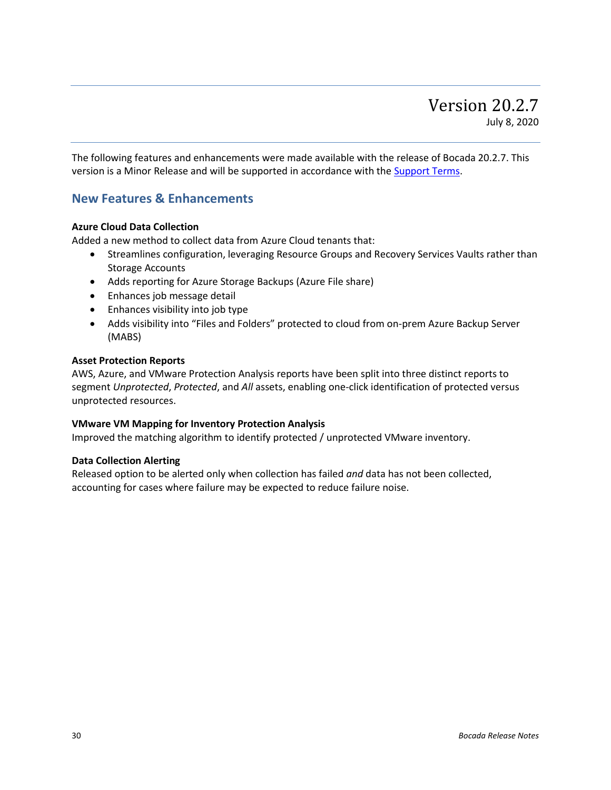<span id="page-29-0"></span>The following features and enhancements were made available with the release of Bocada 20.2.7. This version is a Minor Release and will be supported in accordance with the **Support Terms**.

### **New Features & Enhancements**

### **Azure Cloud Data Collection**

Added a new method to collect data from Azure Cloud tenants that:

- Streamlines configuration, leveraging Resource Groups and Recovery Services Vaults rather than Storage Accounts
- Adds reporting for Azure Storage Backups (Azure File share)
- Enhances job message detail
- Enhances visibility into job type
- Adds visibility into "Files and Folders" protected to cloud from on-prem Azure Backup Server (MABS)

#### **Asset Protection Reports**

AWS, Azure, and VMware Protection Analysis reports have been split into three distinct reports to segment *Unprotected*, *Protected*, and *All* assets, enabling one-click identification of protected versus unprotected resources.

### **VMware VM Mapping for Inventory Protection Analysis**

Improved the matching algorithm to identify protected / unprotected VMware inventory.

### **Data Collection Alerting**

Released option to be alerted only when collection has failed *and* data has not been collected, accounting for cases where failure may be expected to reduce failure noise.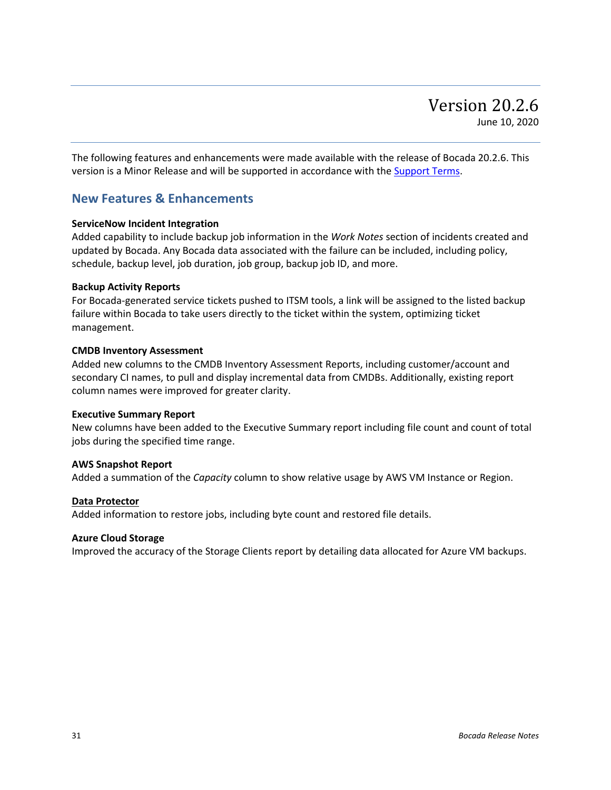<span id="page-30-0"></span>The following features and enhancements were made available with the release of Bocada 20.2.6. This version is a Minor Release and will be supported in accordance with the [Support Terms.](http://www.bocada.com/support-terms)

### **New Features & Enhancements**

#### **ServiceNow Incident Integration**

Added capability to include backup job information in the *Work Notes* section of incidents created and updated by Bocada. Any Bocada data associated with the failure can be included, including policy, schedule, backup level, job duration, job group, backup job ID, and more.

#### **Backup Activity Reports**

For Bocada-generated service tickets pushed to ITSM tools, a link will be assigned to the listed backup failure within Bocada to take users directly to the ticket within the system, optimizing ticket management.

#### **CMDB Inventory Assessment**

Added new columns to the CMDB Inventory Assessment Reports, including customer/account and secondary CI names, to pull and display incremental data from CMDBs. Additionally, existing report column names were improved for greater clarity.

#### **Executive Summary Report**

New columns have been added to the Executive Summary report including file count and count of total jobs during the specified time range.

#### **AWS Snapshot Report**

Added a summation of the *Capacity* column to show relative usage by AWS VM Instance or Region.

#### **Data Protector**

Added information to restore jobs, including byte count and restored file details.

#### **Azure Cloud Storage**

Improved the accuracy of the Storage Clients report by detailing data allocated for Azure VM backups.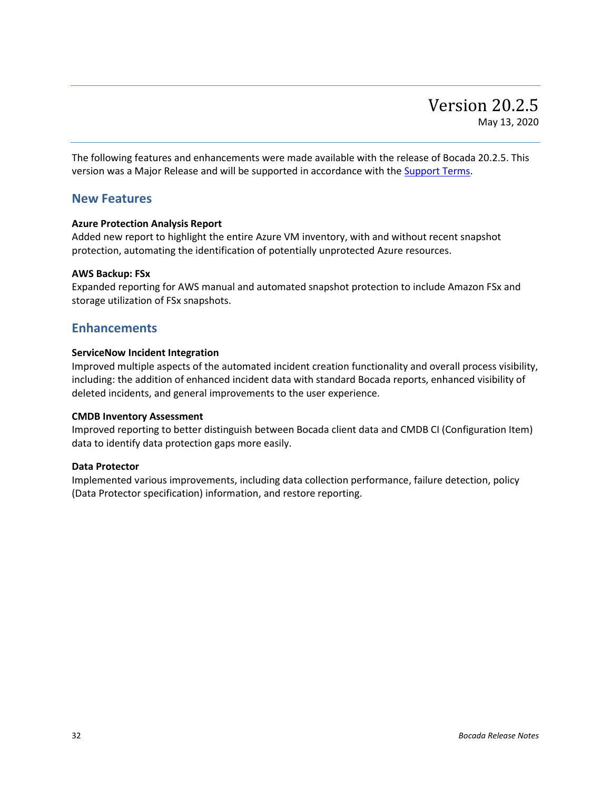<span id="page-31-0"></span>The following features and enhancements were made available with the release of Bocada 20.2.5. This version was a Major Release and will be supported in accordance with the [Support Terms.](http://www.bocada.com/support-terms)

### **New Features**

### **Azure Protection Analysis Report**

Added new report to highlight the entire Azure VM inventory, with and without recent snapshot protection, automating the identification of potentially unprotected Azure resources.

### **AWS Backup: FSx**

Expanded reporting for AWS manual and automated snapshot protection to include Amazon FSx and storage utilization of FSx snapshots.

### **Enhancements**

### **ServiceNow Incident Integration**

Improved multiple aspects of the automated incident creation functionality and overall process visibility, including: the addition of enhanced incident data with standard Bocada reports, enhanced visibility of deleted incidents, and general improvements to the user experience.

### **CMDB Inventory Assessment**

Improved reporting to better distinguish between Bocada client data and CMDB CI (Configuration Item) data to identify data protection gaps more easily.

### **Data Protector**

Implemented various improvements, including data collection performance, failure detection, policy (Data Protector specification) information, and restore reporting.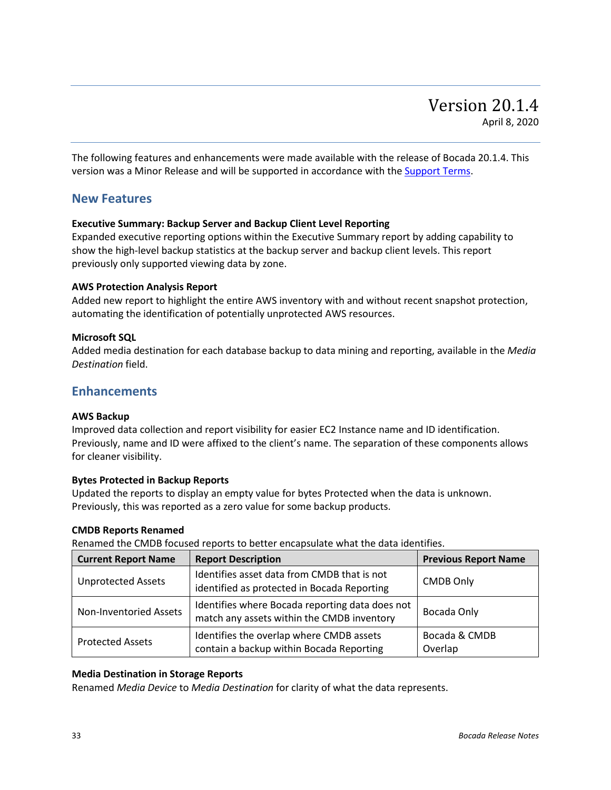<span id="page-32-0"></span>The following features and enhancements were made available with the release of Bocada 20.1.4. This version was a Minor Release and will be supported in accordance with th[e Support Terms.](http://www.bocada.com/support-terms)

### **New Features**

### **Executive Summary: Backup Server and Backup Client Level Reporting**

Expanded executive reporting options within the Executive Summary report by adding capability to show the high-level backup statistics at the backup server and backup client levels. This report previously only supported viewing data by zone.

### **AWS Protection Analysis Report**

Added new report to highlight the entire AWS inventory with and without recent snapshot protection, automating the identification of potentially unprotected AWS resources.

### **Microsoft SQL**

Added media destination for each database backup to data mining and reporting, available in the *Media Destination* field.

### **Enhancements**

### **AWS Backup**

Improved data collection and report visibility for easier EC2 Instance name and ID identification. Previously, name and ID were affixed to the client's name. The separation of these components allows for cleaner visibility.

### **Bytes Protected in Backup Reports**

Updated the reports to display an empty value for bytes Protected when the data is unknown. Previously, this was reported as a zero value for some backup products.

### **CMDB Reports Renamed**

Renamed the CMDB focused reports to better encapsulate what the data identifies.

| <b>Current Report Name</b> | <b>Report Description</b>                                                                     | <b>Previous Report Name</b> |
|----------------------------|-----------------------------------------------------------------------------------------------|-----------------------------|
| <b>Unprotected Assets</b>  | Identifies asset data from CMDB that is not<br>identified as protected in Bocada Reporting    | <b>CMDB Only</b>            |
| Non-Inventoried Assets     | Identifies where Bocada reporting data does not<br>match any assets within the CMDB inventory | Bocada Only                 |
| <b>Protected Assets</b>    | Identifies the overlap where CMDB assets<br>contain a backup within Bocada Reporting          | Bocada & CMDB<br>Overlap    |

### **Media Destination in Storage Reports**

Renamed *Media Device* to *Media Destination* for clarity of what the data represents.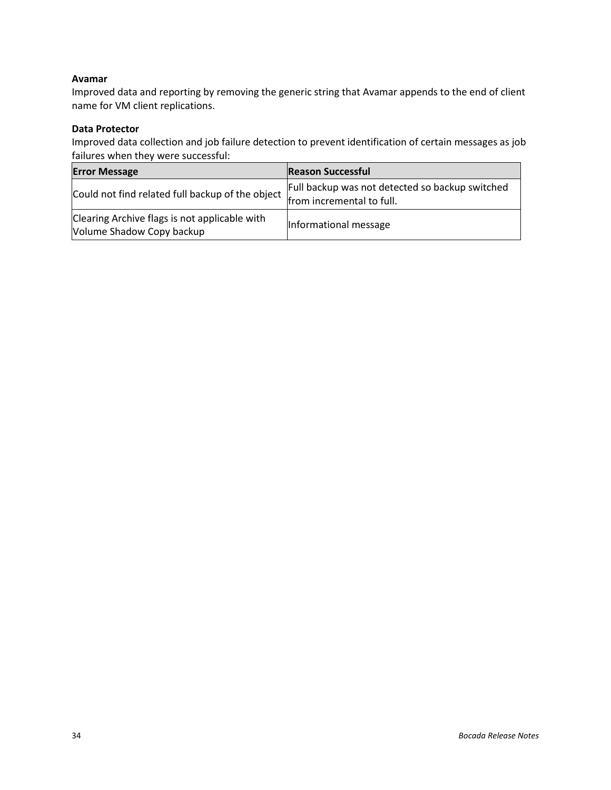### **Avamar**

Improved data and reporting by removing the generic string that Avamar appends to the end of client name for VM client replications.

### **Data Protector**

Improved data collection and job failure detection to prevent identification of certain messages as job failures when they were successful:

| <b>Error Message</b>                                                       | <b>Reason Successful</b>                        |
|----------------------------------------------------------------------------|-------------------------------------------------|
| Could not find related full backup of the object from incremental to full. | Full backup was not detected so backup switched |
| Clearing Archive flags is not applicable with<br>Volume Shadow Copy backup | Informational message                           |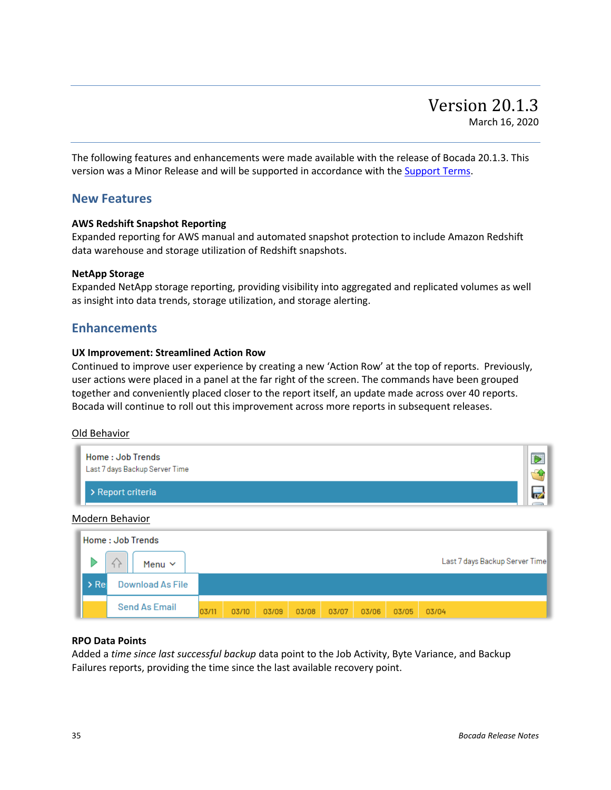<span id="page-34-0"></span>The following features and enhancements were made available with the release of Bocada 20.1.3. This version was a Minor Release and will be supported in accordance with th[e Support Terms.](http://www.bocada.com/support-terms)

### **New Features**

### **AWS Redshift Snapshot Reporting**

Expanded reporting for AWS manual and automated snapshot protection to include Amazon Redshift data warehouse and storage utilization of Redshift snapshots.

### **NetApp Storage**

Expanded NetApp storage reporting, providing visibility into aggregated and replicated volumes as well as insight into data trends, storage utilization, and storage alerting.

### **Enhancements**

### **UX Improvement: Streamlined Action Row**

Continued to improve user experience by creating a new 'Action Row' at the top of reports. Previously, user actions were placed in a panel at the far right of the screen. The commands have been grouped together and conveniently placed closer to the report itself, an update made across over 40 reports. Bocada will continue to roll out this improvement across more reports in subsequent releases.

### Old Behavior



### **RPO Data Points**

**Send As Email** 

03/11

 $03/10$ 

Added a *time since last successful backup* data point to the Job Activity, Byte Variance, and Backup Failures reports, providing the time since the last available recovery point.

03/08

03/07

03/06

03/05

03/04

03/09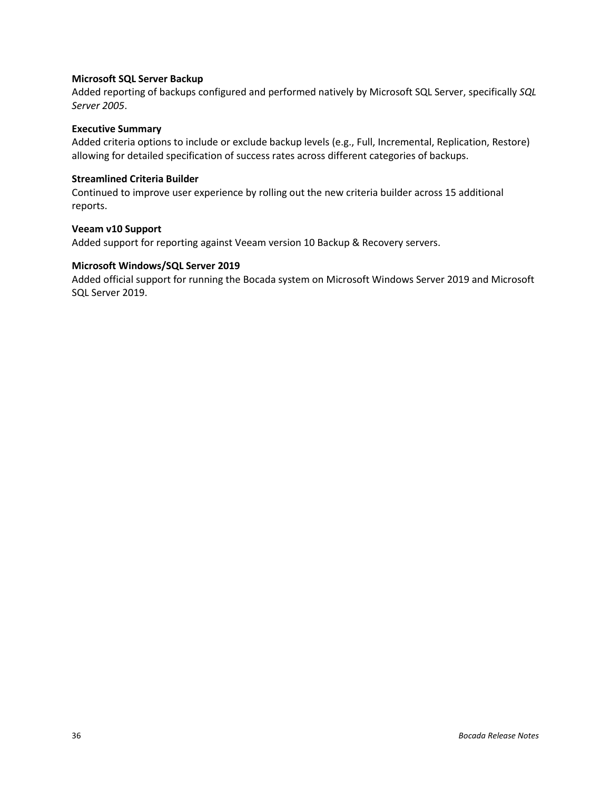### **Microsoft SQL Server Backup**

Added reporting of backups configured and performed natively by Microsoft SQL Server, specifically *SQL Server 2005*.

### **Executive Summary**

Added criteria options to include or exclude backup levels (e.g., Full, Incremental, Replication, Restore) allowing for detailed specification of success rates across different categories of backups.

### **Streamlined Criteria Builder**

Continued to improve user experience by rolling out the new criteria builder across 15 additional reports.

### **Veeam v10 Support**

Added support for reporting against Veeam version 10 Backup & Recovery servers.

### **Microsoft Windows/SQL Server 2019**

Added official support for running the Bocada system on Microsoft Windows Server 2019 and Microsoft SQL Server 2019.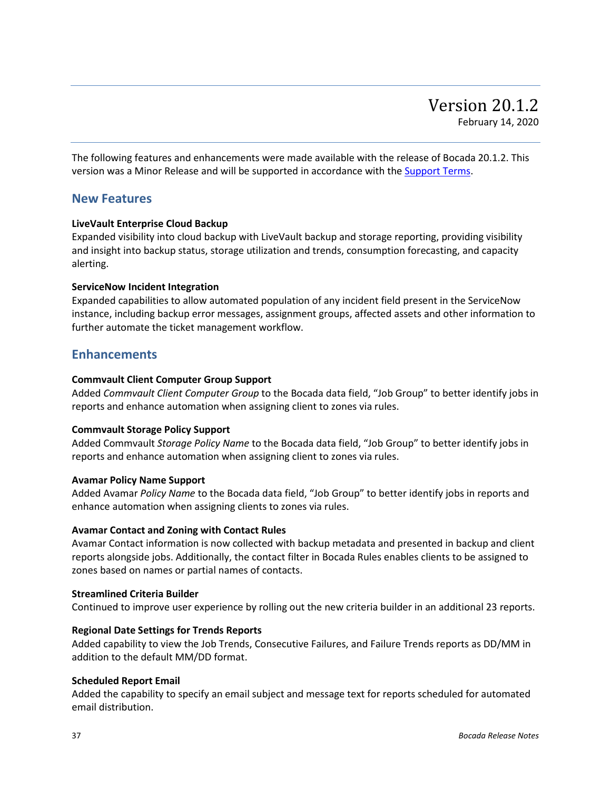<span id="page-36-0"></span>The following features and enhancements were made available with the release of Bocada 20.1.2. This version was a Minor Release and will be supported in accordance with th[e Support Terms.](http://www.bocada.com/support-terms)

### **New Features**

### **LiveVault Enterprise Cloud Backup**

Expanded visibility into cloud backup with LiveVault backup and storage reporting, providing visibility and insight into backup status, storage utilization and trends, consumption forecasting, and capacity alerting.

### **ServiceNow Incident Integration**

Expanded capabilities to allow automated population of any incident field present in the ServiceNow instance, including backup error messages, assignment groups, affected assets and other information to further automate the ticket management workflow.

### **Enhancements**

### **Commvault Client Computer Group Support**

Added *Commvault Client Computer Group* to the Bocada data field, "Job Group" to better identify jobs in reports and enhance automation when assigning client to zones via rules.

### **Commvault Storage Policy Support**

Added Commvault *Storage Policy Name* to the Bocada data field, "Job Group" to better identify jobs in reports and enhance automation when assigning client to zones via rules.

### **Avamar Policy Name Support**

Added Avamar *Policy Name* to the Bocada data field, "Job Group" to better identify jobs in reports and enhance automation when assigning clients to zones via rules.

### **Avamar Contact and Zoning with Contact Rules**

Avamar Contact information is now collected with backup metadata and presented in backup and client reports alongside jobs. Additionally, the contact filter in Bocada Rules enables clients to be assigned to zones based on names or partial names of contacts.

### **Streamlined Criteria Builder**

Continued to improve user experience by rolling out the new criteria builder in an additional 23 reports.

### **Regional Date Settings for Trends Reports**

Added capability to view the Job Trends, Consecutive Failures, and Failure Trends reports as DD/MM in addition to the default MM/DD format.

### **Scheduled Report Email**

Added the capability to specify an email subject and message text for reports scheduled for automated email distribution.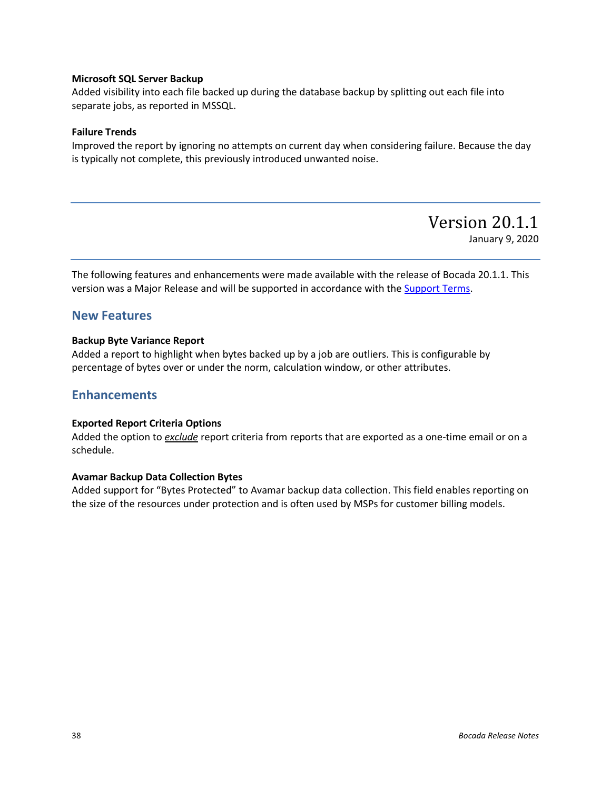### **Microsoft SQL Server Backup**

Added visibility into each file backed up during the database backup by splitting out each file into separate jobs, as reported in MSSQL.

### **Failure Trends**

Improved the report by ignoring no attempts on current day when considering failure. Because the day is typically not complete, this previously introduced unwanted noise.

Version 20.1.1

January 9, 2020

<span id="page-37-0"></span>The following features and enhancements were made available with the release of Bocada 20.1.1. This version was a Major Release and will be supported in accordance with the [Support Terms.](http://www.bocada.com/support-terms)

### **New Features**

### **Backup Byte Variance Report**

Added a report to highlight when bytes backed up by a job are outliers. This is configurable by percentage of bytes over or under the norm, calculation window, or other attributes.

### **Enhancements**

### **Exported Report Criteria Options**

Added the option to *exclude* report criteria from reports that are exported as a one-time email or on a schedule.

### **Avamar Backup Data Collection Bytes**

Added support for "Bytes Protected" to Avamar backup data collection. This field enables reporting on the size of the resources under protection and is often used by MSPs for customer billing models.